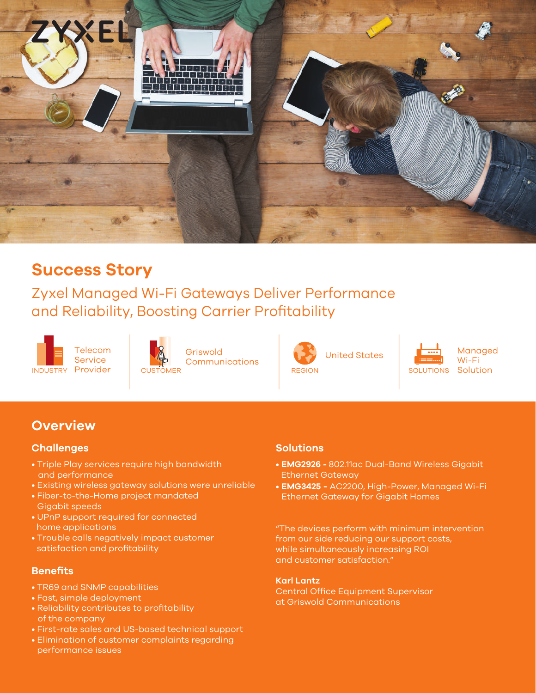

# **Success Story**

Zyxel Managed Wi-Fi Gateways Deliver Performance and Reliability, Boosting Carrier Profitability





Griswold **Communications** 



United States



Managed Wi-Fi Solution

## **Overview**

### **Challenges**

- Triple Play services require high bandwidth and performance
- Existing wireless gateway solutions were unreliable
- Fiber-to-the-Home project mandated Gigabit speeds
- UPnP support required for connected home applications
- Trouble calls negatively impact customer satisfaction and profitability

#### **Benefits**

- TR69 and SNMP capabilities
- Fast, simple deployment
- Reliability contributes to profitability of the company
- First-rate sales and US-based technical support
- Elimination of customer complaints regarding performance issues

#### **Solutions**

- **EMG2926** 802.11ac Dual-Band Wireless Gigabit Ethernet Gateway
- **EMG3425** AC2200, High-Power, Managed Wi-Fi Ethernet Gateway for Gigabit Homes

"The devices perform with minimum intervention from our side reducing our support costs, while simultaneously increasing ROI and customer satisfaction."

#### **Karl Lantz**

Central Office Equipment Supervisor at Griswold Communications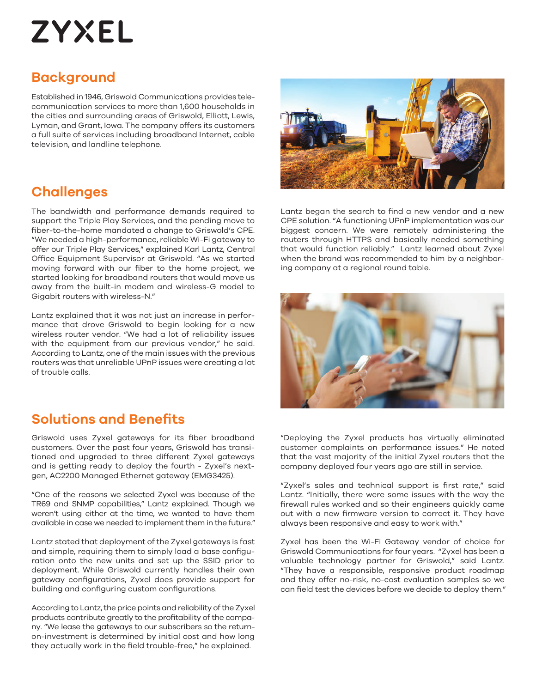# **ZYXEL**

## **Background**

Established in 1946, Griswold Communications provides telecommunication services to more than 1,600 households in the cities and surrounding areas of Griswold, Elliott, Lewis, Lyman, and Grant, Iowa. The company offers its customers a full suite of services including broadband Internet, cable television, and landline telephone.

## **Challenges**

The bandwidth and performance demands required to support the Triple Play Services, and the pending move to fiber-to-the-home mandated a change to Griswold's CPE. "We needed a high-performance, reliable Wi-Fi gateway to offer our Triple Play Services," explained Karl Lantz, Central Office Equipment Supervisor at Griswold. "As we started moving forward with our fiber to the home project, we started looking for broadband routers that would move us away from the built-in modem and wireless-G model to Gigabit routers with wireless-N."

Lantz explained that it was not just an increase in performance that drove Griswold to begin looking for a new wireless router vendor. "We had a lot of reliability issues with the equipment from our previous vendor," he said. According to Lantz, one of the main issues with the previous routers was that unreliable UPnP issues were creating a lot of trouble calls.

## **Solutions and Benefits**

Griswold uses Zyxel gateways for its fiber broadband customers. Over the past four years, Griswold has transitioned and upgraded to three different Zyxel gateways and is getting ready to deploy the fourth - Zyxel's nextgen, AC2200 Managed Ethernet gateway (EMG3425).

"One of the reasons we selected Zyxel was because of the TR69 and SNMP capabilities," Lantz explained. Though we weren't using either at the time, we wanted to have them available in case we needed to implement them in the future."

Lantz stated that deployment of the Zyxel gateways is fast and simple, requiring them to simply load a base configuration onto the new units and set up the SSID prior to deployment. While Griswold currently handles their own gateway configurations, Zyxel does provide support for building and configuring custom configurations.

According to Lantz, the price points and reliability of the Zyxel products contribute greatly to the profitability of the company. "We lease the gateways to our subscribers so the returnon-investment is determined by initial cost and how long they actually work in the field trouble-free," he explained.



Lantz began the search to find a new vendor and a new CPE solution. "A functioning UPnP implementation was our biggest concern. We were remotely administering the routers through HTTPS and basically needed something that would function reliably." Lantz learned about Zyxel when the brand was recommended to him by a neighboring company at a regional round table.



"Deploying the Zyxel products has virtually eliminated customer complaints on performance issues." He noted that the vast majority of the initial Zyxel routers that the company deployed four years ago are still in service.

"Zyxel's sales and technical support is first rate," said Lantz. "Initially, there were some issues with the way the firewall rules worked and so their engineers quickly came out with a new firmware version to correct it. They have always been responsive and easy to work with."

Zyxel has been the Wi-Fi Gateway vendor of choice for Griswold Communications for four years. "Zyxel has been a valuable technology partner for Griswold," said Lantz. "They have a responsible, responsive product roadmap and they offer no-risk, no-cost evaluation samples so we can field test the devices before we decide to deploy them."